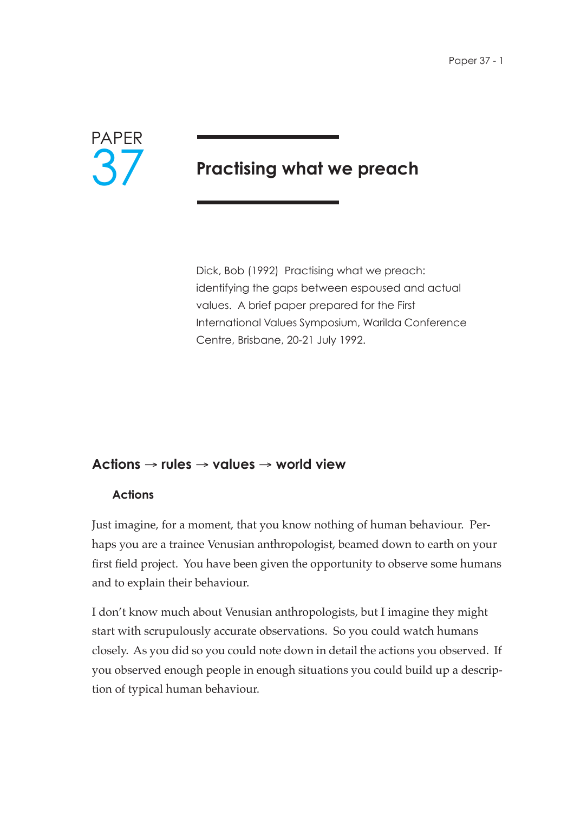

# **Practising what we preach**

Dick, Bob (1992) Practising what we preach: identifying the gaps between espoused and actual values. A brief paper prepared for the First International Values Symposium, Warilda Conference Centre, Brisbane, 20-21 July 1992.

# **Actions** → **rules** → **values** → **world view**

### **Actions**

Just imagine, for a moment, that you know nothing of human behaviour. Perhaps you are a trainee Venusian anthropologist, beamed down to earth on your first field project. You have been given the opportunity to observe some humans and to explain their behaviour.

I don't know much about Venusian anthropologists, but I imagine they might start with scrupulously accurate observations. So you could watch humans closely. As you did so you could note down in detail the actions you observed. If you observed enough people in enough situations you could build up a description of typical human behaviour.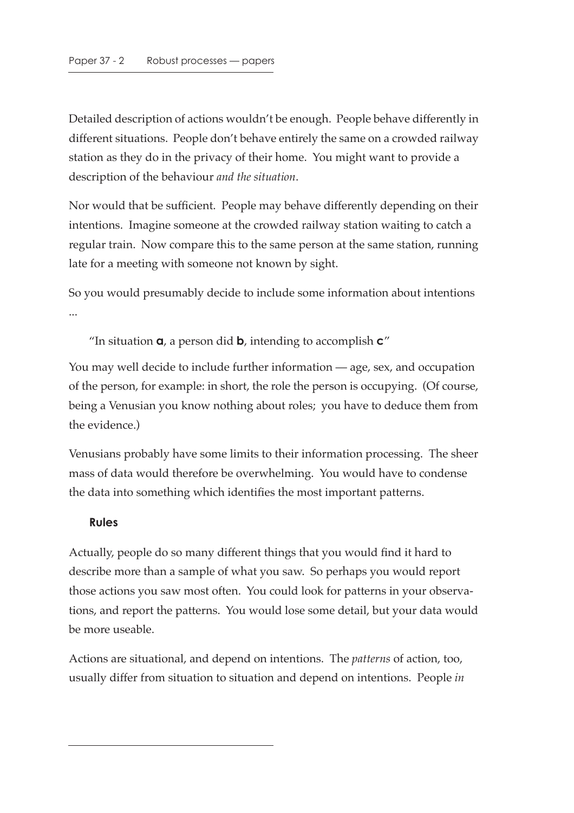Detailed description of actions wouldn't be enough. People behave differently in different situations. People don't behave entirely the same on a crowded railway station as they do in the privacy of their home. You might want to provide a description of the behaviour *and the situation*.

Nor would that be sufficient. People may behave differently depending on their intentions. Imagine someone at the crowded railway station waiting to catch a regular train. Now compare this to the same person at the same station, running late for a meeting with someone not known by sight.

So you would presumably decide to include some information about intentions ...

"In situation **a**, a person did **b**, intending to accomplish **c**."

You may well decide to include further information — age, sex, and occupation of the person, for example: in short, the role the person is occupying. (Of course, being a Venusian you know nothing about roles; you have to deduce them from the evidence.)

Venusians probably have some limits to their information processing. The sheer mass of data would therefore be overwhelming. You would have to condense the data into something which identifies the most important patterns.

#### **Rules**

Actually, people do so many different things that you would find it hard to describe more than a sample of what you saw. So perhaps you would report those actions you saw most often. You could look for patterns in your observations, and report the patterns. You would lose some detail, but your data would be more useable.

Actions are situational, and depend on intentions. The *patterns* of action, too, usually differ from situation to situation and depend on intentions. People *in*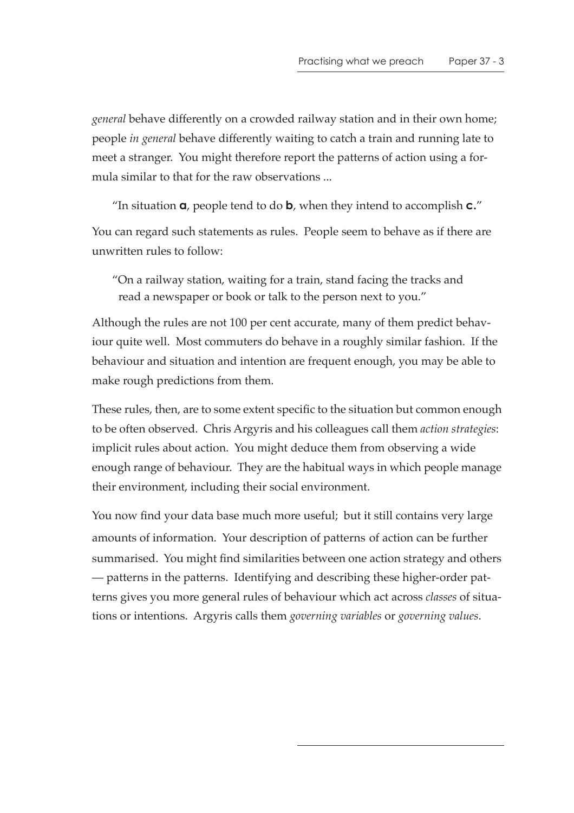*general* behave differently on a crowded railway station and in their own home; people *in general* behave differently waiting to catch a train and running late to meet a stranger. You might therefore report the patterns of action using a formula similar to that for the raw observations ...

"In situation **a**, people tend to do **b**, when they intend to accomplish **c.**"

You can regard such statements as rules. People seem to behave as if there are unwritten rules to follow:

"On a railway station, waiting for a train, stand facing the tracks and read a newspaper or book or talk to the person next to you."

Although the rules are not 100 per cent accurate, many of them predict behaviour quite well. Most commuters do behave in a roughly similar fashion. If the behaviour and situation and intention are frequent enough, you may be able to make rough predictions from them.

These rules, then, are to some extent specific to the situation but common enough to be often observed. Chris Argyris and his colleagues call them *action strategies*: implicit rules about action. You might deduce them from observing a wide enough range of behaviour. They are the habitual ways in which people manage their environment, including their social environment.

You now find your data base much more useful; but it still contains very large amounts of information. Your description of patterns of action can be further summarised. You might find similarities between one action strategy and others — patterns in the patterns. Identifying and describing these higher-order patterns gives you more general rules of behaviour which act across *classes* of situations or intentions. Argyris calls them *governing variables* or *governing values*.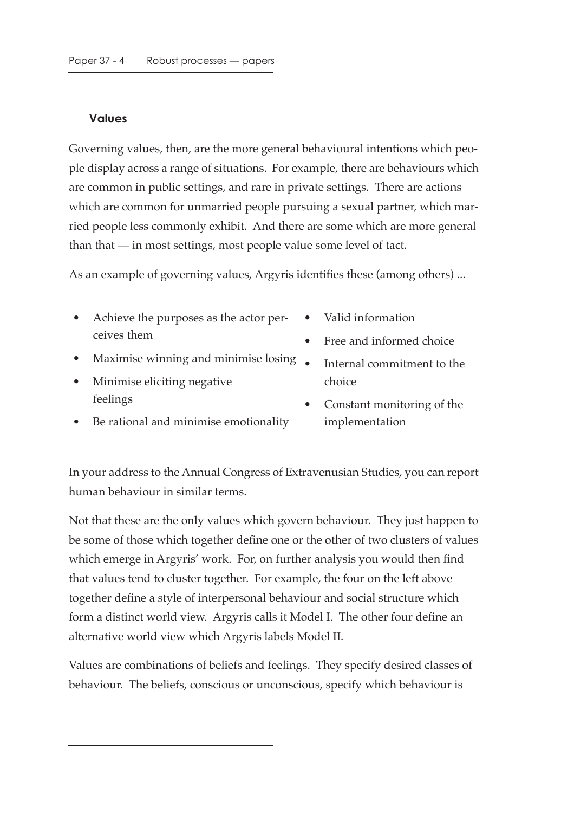### **Values**

Governing values, then, are the more general behavioural intentions which people display across a range of situations. For example, there are behaviours which are common in public settings, and rare in private settings. There are actions which are common for unmarried people pursuing a sexual partner, which married people less commonly exhibit. And there are some which are more general than that — in most settings, most people value some level of tact.

As an example of governing values, Argyris identifies these (among others) ...

- Achieve the purposes as the actor perceives them
- Maximise winning and minimise losing
- Minimise eliciting negative feelings
- Be rational and minimise emotionality
- Valid information
- Free and informed choice
- Internal commitment to the choice
- Constant monitoring of the implementation

In your address to the Annual Congress of Extravenusian Studies, you can report human behaviour in similar terms.

Not that these are the only values which govern behaviour. They just happen to be some of those which together define one or the other of two clusters of values which emerge in Argyris' work. For, on further analysis you would then find that values tend to cluster together. For example, the four on the left above together define a style of interpersonal behaviour and social structure which form a distinct world view. Argyris calls it Model I. The other four define an alternative world view which Argyris labels Model II.

Values are combinations of beliefs and feelings. They specify desired classes of behaviour. The beliefs, conscious or unconscious, specify which behaviour is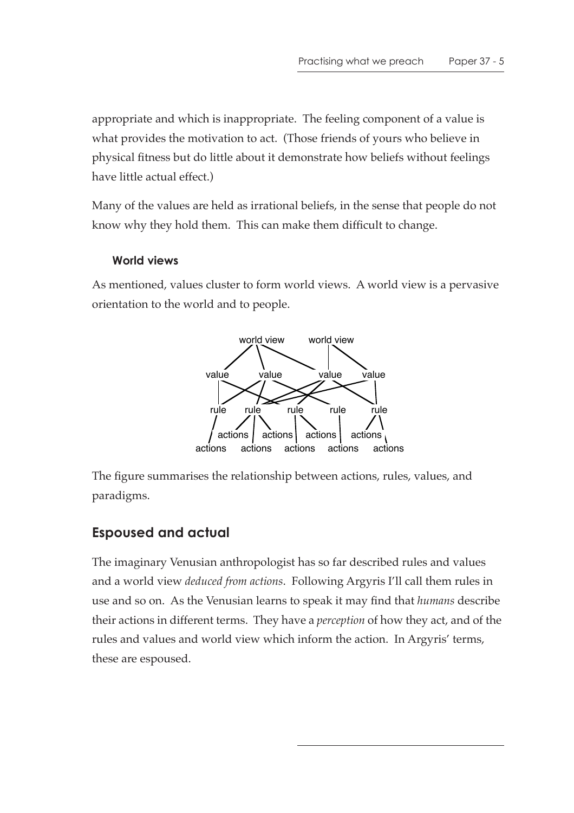appropriate and which is inappropriate. The feeling component of a value is what provides the motivation to act. (Those friends of yours who believe in physical fitness but do little about it demonstrate how beliefs without feelings have little actual effect.)

Many of the values are held as irrational beliefs, in the sense that people do not know why they hold them. This can make them difficult to change.

### **World views**

As mentioned, values cluster to form world views. A world view is a pervasive orientation to the world and to people.



The figure summarises the relationship between actions, rules, values, and paradigms.

# **Espoused and actual**

The imaginary Venusian anthropologist has so far described rules and values and a world view *deduced from actions*. Following Argyris I'll call them rules in use and so on. As the Venusian learns to speak it may find that *humans* describe their actions in different terms. They have a *perception* of how they act, and of the rules and values and world view which inform the action. In Argyris' terms, these are espoused.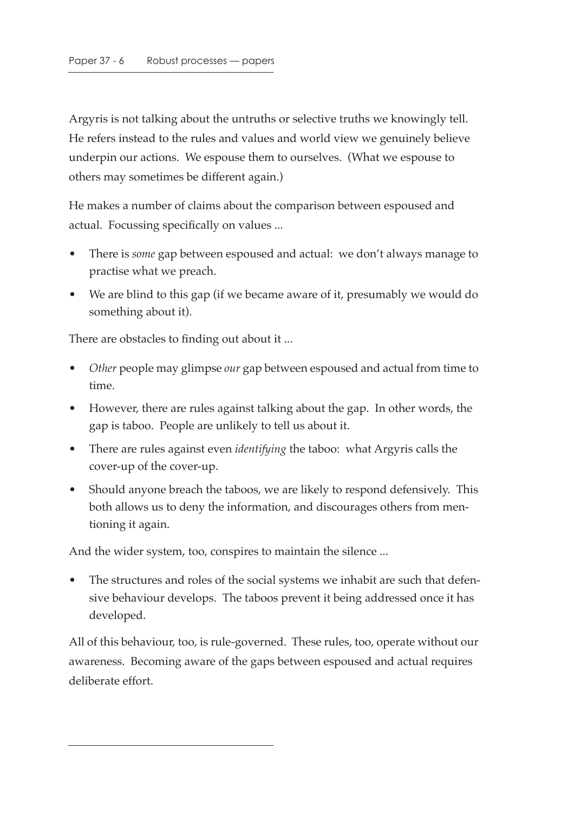Argyris is not talking about the untruths or selective truths we knowingly tell. He refers instead to the rules and values and world view we genuinely believe underpin our actions. We espouse them to ourselves. (What we espouse to others may sometimes be different again.)

He makes a number of claims about the comparison between espoused and actual. Focussing specifically on values ...

- There is *some* gap between espoused and actual: we don't always manage to practise what we preach.
- We are blind to this gap (if we became aware of it, presumably we would do something about it).

There are obstacles to finding out about it ...

- *Other* people may glimpse *our* gap between espoused and actual from time to time.
- However, there are rules against talking about the gap. In other words, the gap is taboo. People are unlikely to tell us about it.
- There are rules against even *identifying* the taboo: what Argyris calls the cover-up of the cover-up.
- Should anyone breach the taboos, we are likely to respond defensively. This both allows us to deny the information, and discourages others from mentioning it again.

And the wider system, too, conspires to maintain the silence ...

• The structures and roles of the social systems we inhabit are such that defensive behaviour develops. The taboos prevent it being addressed once it has developed.

All of this behaviour, too, is rule-governed. These rules, too, operate without our awareness. Becoming aware of the gaps between espoused and actual requires deliberate effort.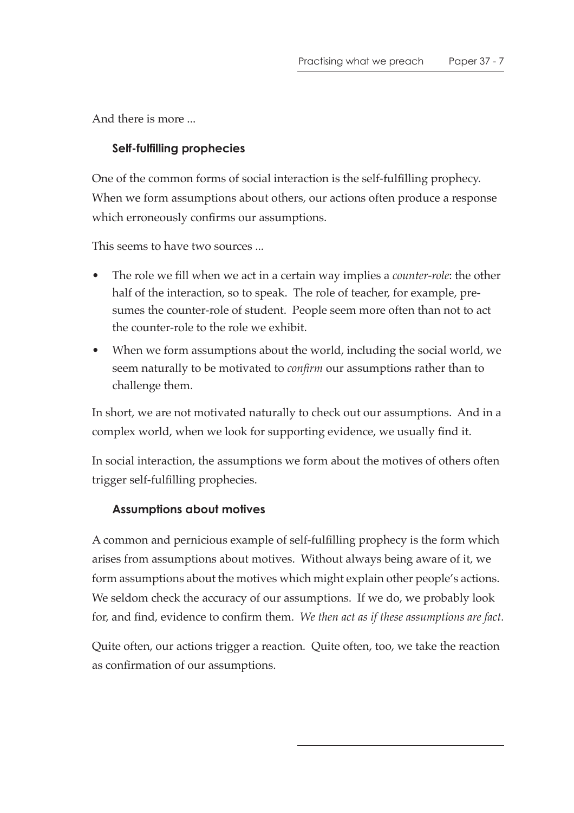And there is more ...

## **Self-fulfilling prophecies**

One of the common forms of social interaction is the self-fulfilling prophecy. When we form assumptions about others, our actions often produce a response which erroneously confirms our assumptions.

This seems to have two sources ...

- The role we fill when we act in a certain way implies a *counter-role*: the other half of the interaction, so to speak. The role of teacher, for example, presumes the counter-role of student. People seem more often than not to act the counter-role to the role we exhibit.
- When we form assumptions about the world, including the social world, we seem naturally to be motivated to *confirm* our assumptions rather than to challenge them.

In short, we are not motivated naturally to check out our assumptions. And in a complex world, when we look for supporting evidence, we usually find it.

In social interaction, the assumptions we form about the motives of others often trigger self-fulfilling prophecies.

### **Assumptions about motives**

A common and pernicious example of self-fulfilling prophecy is the form which arises from assumptions about motives. Without always being aware of it, we form assumptions about the motives which might explain other people's actions. We seldom check the accuracy of our assumptions. If we do, we probably look for, and find, evidence to confirm them. *We then act as if these assumptions are fact.*

Quite often, our actions trigger a reaction. Quite often, too, we take the reaction as confirmation of our assumptions.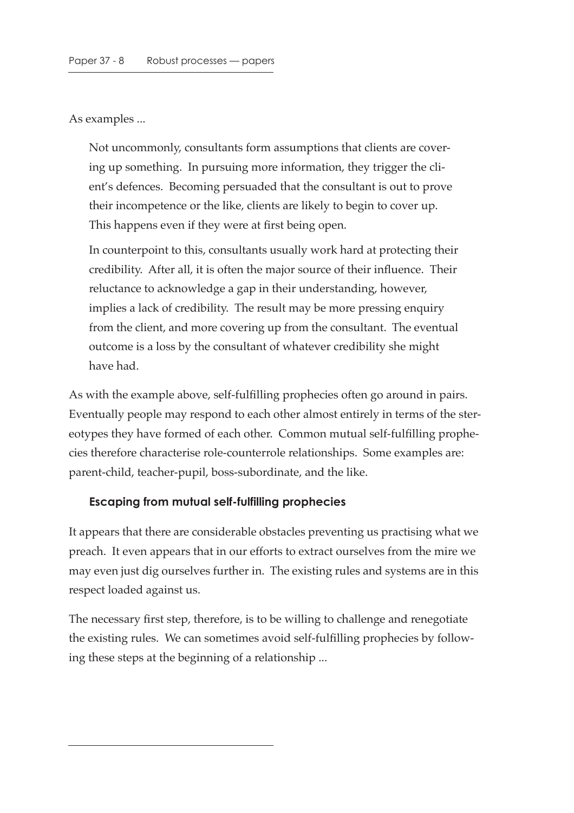As examples ...

Not uncommonly, consultants form assumptions that clients are covering up something. In pursuing more information, they trigger the client's defences. Becoming persuaded that the consultant is out to prove their incompetence or the like, clients are likely to begin to cover up. This happens even if they were at first being open.

In counterpoint to this, consultants usually work hard at protecting their credibility. After all, it is often the major source of their influence. Their reluctance to acknowledge a gap in their understanding, however, implies a lack of credibility. The result may be more pressing enquiry from the client, and more covering up from the consultant. The eventual outcome is a loss by the consultant of whatever credibility she might have had.

As with the example above, self-fulfilling prophecies often go around in pairs. Eventually people may respond to each other almost entirely in terms of the stereotypes they have formed of each other. Common mutual self-fulfilling prophecies therefore characterise role-counterrole relationships. Some examples are: parent-child, teacher-pupil, boss-subordinate, and the like.

#### **Escaping from mutual self-fulfilling prophecies**

It appears that there are considerable obstacles preventing us practising what we preach. It even appears that in our efforts to extract ourselves from the mire we may even just dig ourselves further in. The existing rules and systems are in this respect loaded against us.

The necessary first step, therefore, is to be willing to challenge and renegotiate the existing rules. We can sometimes avoid self-fulfilling prophecies by following these steps at the beginning of a relationship ...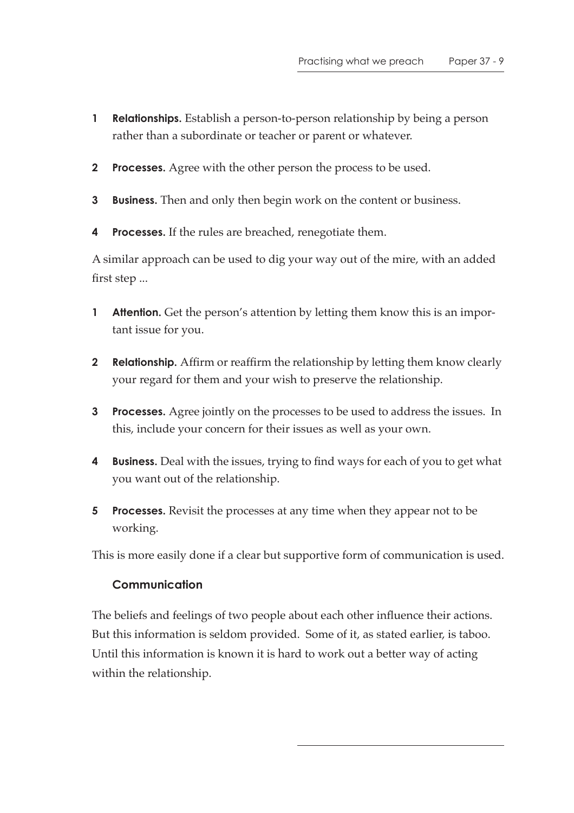- **1 Relationships.** Establish a person-to-person relationship by being a person rather than a subordinate or teacher or parent or whatever.
- **2 Processes.** Agree with the other person the process to be used.
- **3 Business.** Then and only then begin work on the content or business.
- **4 Processes.** If the rules are breached, renegotiate them.

A similar approach can be used to dig your way out of the mire, with an added first step ...

- **1 Attention.** Get the person's attention by letting them know this is an important issue for you.
- **2 Relationship.** Affirm or reaffirm the relationship by letting them know clearly your regard for them and your wish to preserve the relationship.
- **3 Processes.** Agree jointly on the processes to be used to address the issues. In this, include your concern for their issues as well as your own.
- **4 Business.** Deal with the issues, trying to find ways for each of you to get what you want out of the relationship.
- **5 Processes.** Revisit the processes at any time when they appear not to be working.

This is more easily done if a clear but supportive form of communication is used.

### **Communication**

The beliefs and feelings of two people about each other influence their actions. But this information is seldom provided. Some of it, as stated earlier, is taboo. Until this information is known it is hard to work out a better way of acting within the relationship.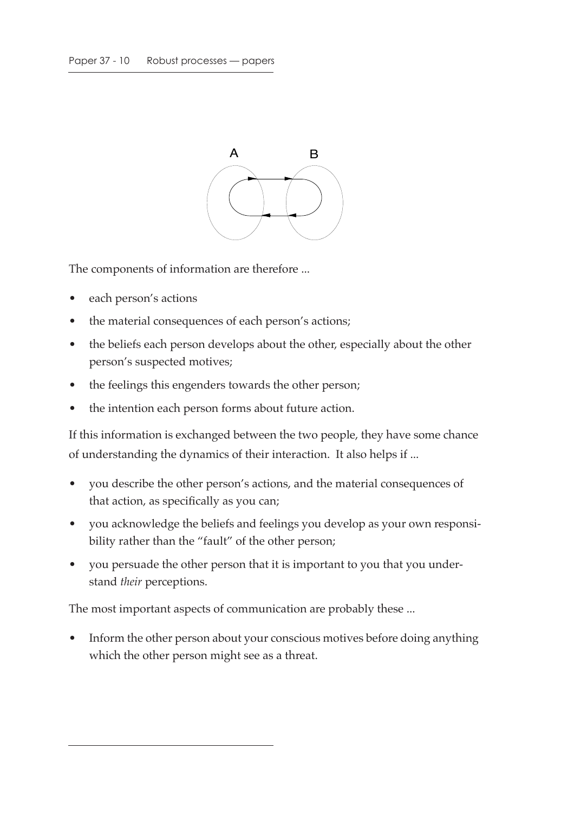

The components of information are therefore ...

- each person's actions
- the material consequences of each person's actions;
- the beliefs each person develops about the other, especially about the other person's suspected motives;
- the feelings this engenders towards the other person;
- the intention each person forms about future action.

If this information is exchanged between the two people, they have some chance of understanding the dynamics of their interaction. It also helps if ...

- you describe the other person's actions, and the material consequences of that action, as specifically as you can;
- you acknowledge the beliefs and feelings you develop as your own responsibility rather than the "fault" of the other person;
- you persuade the other person that it is important to you that you understand *their* perceptions.

The most important aspects of communication are probably these ...

• Inform the other person about your conscious motives before doing anything which the other person might see as a threat.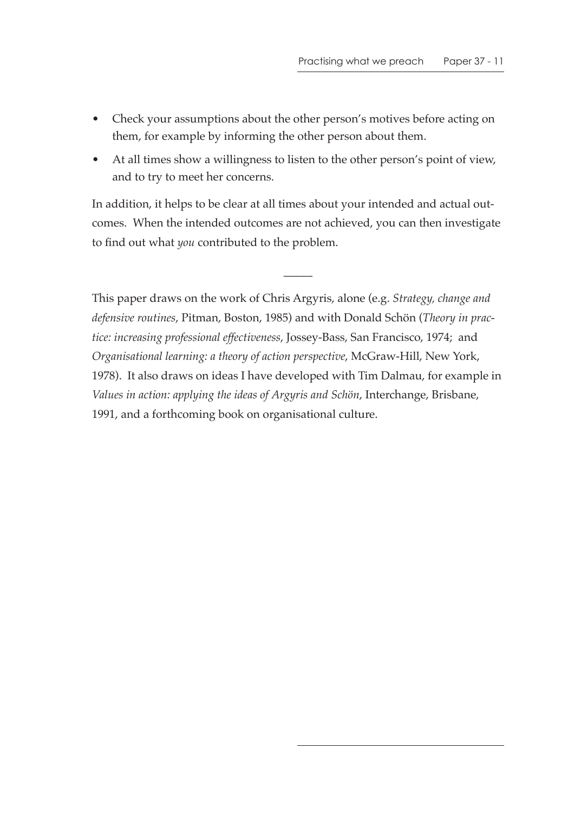- Check your assumptions about the other person's motives before acting on them, for example by informing the other person about them.
- At all times show a willingness to listen to the other person's point of view, and to try to meet her concerns.

In addition, it helps to be clear at all times about your intended and actual outcomes. When the intended outcomes are not achieved, you can then investigate to find out what *you* contributed to the problem.

 $\overline{\phantom{a}}$ 

This paper draws on the work of Chris Argyris, alone (e.g. *Strategy, change and defensive routines*, Pitman, Boston, 1985) and with Donald Schön (*Theory in practice: increasing professional effectiveness*, Jossey-Bass, San Francisco, 1974; and *Organisational learning: a theory of action perspective*, McGraw-Hill, New York, 1978). It also draws on ideas I have developed with Tim Dalmau, for example in *Values in action: applying the ideas of Argyris and Schön*, Interchange, Brisbane, 1991, and a forthcoming book on organisational culture.